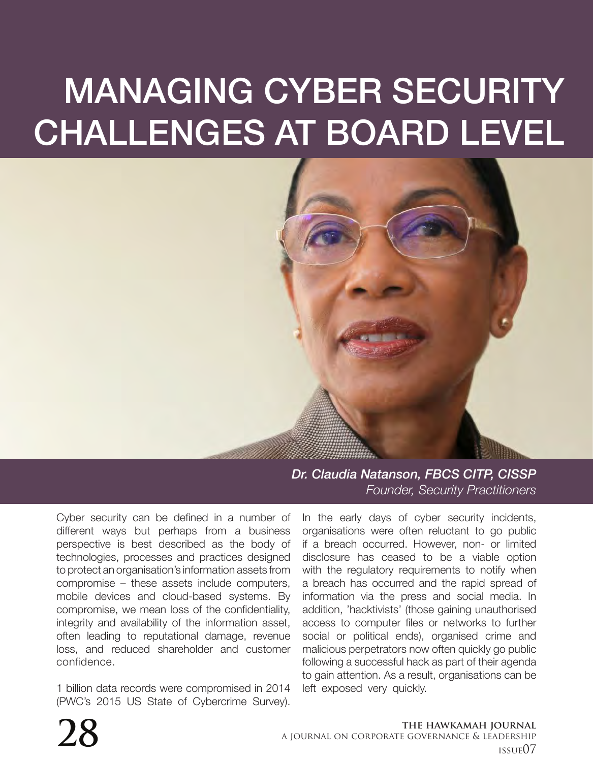# MANAGING CYBER SECURITY CHALLENGES AT BOARD LEVEL



*Dr. Claudia Natanson, FBCS CITP, CISSP Founder, Security Practitioners*

Cyber security can be defined in a number of different ways but perhaps from a business perspective is best described as the body of technologies, processes and practices designed to protect an organisation's information assets from compromise – these assets include computers, mobile devices and cloud-based systems. By compromise, we mean loss of the confidentiality, integrity and availability of the information asset, often leading to reputational damage, revenue loss, and reduced shareholder and customer confidence.

1 billion data records were compromised in 2014 (PWC's 2015 US State of Cybercrime Survey).

In the early days of cyber security incidents, organisations were often reluctant to go public if a breach occurred. However, non- or limited disclosure has ceased to be a viable option with the regulatory requirements to notify when a breach has occurred and the rapid spread of information via the press and social media. In addition, 'hacktivists' (those gaining unauthorised access to computer files or networks to further social or political ends), organised crime and malicious perpetrators now often quickly go public following a successful hack as part of their agenda to gain attention. As a result, organisations can be left exposed very quickly.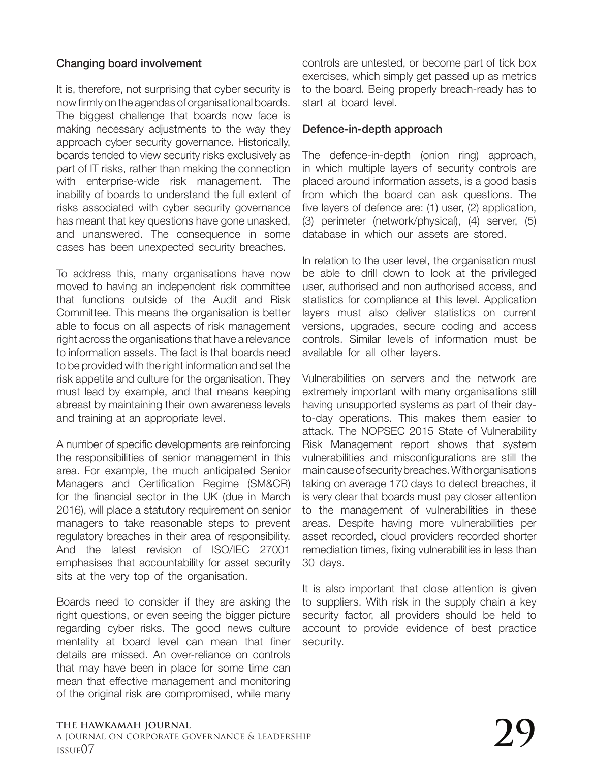## Changing board involvement

It is, therefore, not surprising that cyber security is now firmly on the agendas of organisational boards. The biggest challenge that boards now face is making necessary adjustments to the way they approach cyber security governance. Historically, boards tended to view security risks exclusively as part of IT risks, rather than making the connection with enterprise-wide risk management. The inability of boards to understand the full extent of risks associated with cyber security governance has meant that key questions have gone unasked, and unanswered. The consequence in some cases has been unexpected security breaches.

To address this, many organisations have now moved to having an independent risk committee that functions outside of the Audit and Risk Committee. This means the organisation is better able to focus on all aspects of risk management right across the organisations that have a relevance to information assets. The fact is that boards need to be provided with the right information and set the risk appetite and culture for the organisation. They must lead by example, and that means keeping abreast by maintaining their own awareness levels and training at an appropriate level.

A number of specific developments are reinforcing the responsibilities of senior management in this area. For example, the much anticipated Senior Managers and Certification Regime (SM&CR) for the financial sector in the UK (due in March 2016), will place a statutory requirement on senior managers to take reasonable steps to prevent regulatory breaches in their area of responsibility. And the latest revision of ISO/IEC 27001 emphasises that accountability for asset security sits at the very top of the organisation.

Boards need to consider if they are asking the right questions, or even seeing the bigger picture regarding cyber risks. The good news culture mentality at board level can mean that finer details are missed. An over-reliance on controls that may have been in place for some time can mean that effective management and monitoring of the original risk are compromised, while many controls are untested, or become part of tick box exercises, which simply get passed up as metrics to the board. Being properly breach-ready has to start at board level.

#### Defence-in-depth approach

The defence-in-depth (onion ring) approach, in which multiple layers of security controls are placed around information assets, is a good basis from which the board can ask questions. The five layers of defence are: (1) user, (2) application, (3) perimeter (network/physical), (4) server, (5) database in which our assets are stored.

In relation to the user level, the organisation must be able to drill down to look at the privileged user, authorised and non authorised access, and statistics for compliance at this level. Application layers must also deliver statistics on current versions, upgrades, secure coding and access controls. Similar levels of information must be available for all other layers.

Vulnerabilities on servers and the network are extremely important with many organisations still having unsupported systems as part of their dayto-day operations. This makes them easier to attack. The NOPSEC 2015 State of Vulnerability Risk Management report shows that system vulnerabilities and misconfigurations are still the main cause of security breaches. With organisations taking on average 170 days to detect breaches, it is very clear that boards must pay closer attention to the management of vulnerabilities in these areas. Despite having more vulnerabilities per asset recorded, cloud providers recorded shorter remediation times, fixing vulnerabilities in less than 30 days.

It is also important that close attention is given to suppliers. With risk in the supply chain a key security factor, all providers should be held to account to provide evidence of best practice security.

#### **the hawkamah journal** a journal on corporate governance & leadership The hawkamah journal<br>a journal on corporate governance & leadership<br>issue07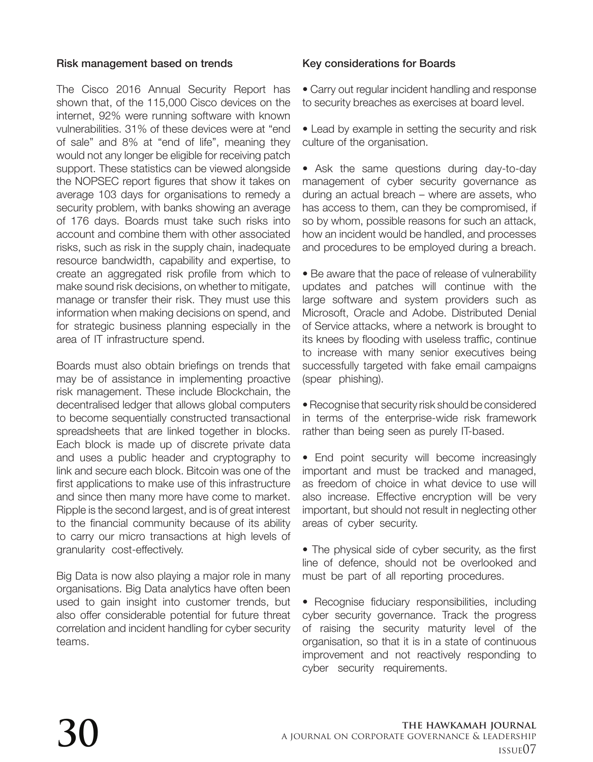## Risk management based on trends

The Cisco 2016 Annual Security Report has shown that, of the 115,000 Cisco devices on the internet, 92% were running software with known vulnerabilities. 31% of these devices were at "end of sale" and 8% at "end of life", meaning they would not any longer be eligible for receiving patch support. These statistics can be viewed alongside the NOPSEC report figures that show it takes on average 103 days for organisations to remedy a security problem, with banks showing an average of 176 days. Boards must take such risks into account and combine them with other associated risks, such as risk in the supply chain, inadequate resource bandwidth, capability and expertise, to create an aggregated risk profile from which to make sound risk decisions, on whether to mitigate, manage or transfer their risk. They must use this information when making decisions on spend, and for strategic business planning especially in the area of IT infrastructure spend.

Boards must also obtain briefings on trends that may be of assistance in implementing proactive risk management. These include Blockchain, the decentralised ledger that allows global computers to become sequentially constructed transactional spreadsheets that are linked together in blocks. Each block is made up of discrete private data and uses a public header and cryptography to link and secure each block. Bitcoin was one of the first applications to make use of this infrastructure and since then many more have come to market. Ripple is the second largest, and is of great interest to the financial community because of its ability to carry our micro transactions at high levels of granularity cost-effectively.

Big Data is now also playing a major role in many organisations. Big Data analytics have often been used to gain insight into customer trends, but also offer considerable potential for future threat correlation and incident handling for cyber security teams.

## Key considerations for Boards

• Carry out regular incident handling and response to security breaches as exercises at board level.

• Lead by example in setting the security and risk culture of the organisation.

• Ask the same questions during day-to-day management of cyber security governance as during an actual breach – where are assets, who has access to them, can they be compromised, if so by whom, possible reasons for such an attack, how an incident would be handled, and processes and procedures to be employed during a breach.

• Be aware that the pace of release of vulnerability updates and patches will continue with the large software and system providers such as Microsoft, Oracle and Adobe. Distributed Denial of Service attacks, where a network is brought to its knees by flooding with useless traffic, continue to increase with many senior executives being successfully targeted with fake email campaigns (spear phishing).

• Recognise that security risk should be considered in terms of the enterprise-wide risk framework rather than being seen as purely IT-based.

• End point security will become increasingly important and must be tracked and managed, as freedom of choice in what device to use will also increase. Effective encryption will be very important, but should not result in neglecting other areas of cyber security.

• The physical side of cyber security, as the first line of defence, should not be overlooked and must be part of all reporting procedures.

• Recognise fiduciary responsibilities, including cyber security governance. Track the progress of raising the security maturity level of the organisation, so that it is in a state of continuous improvement and not reactively responding to cyber security requirements.